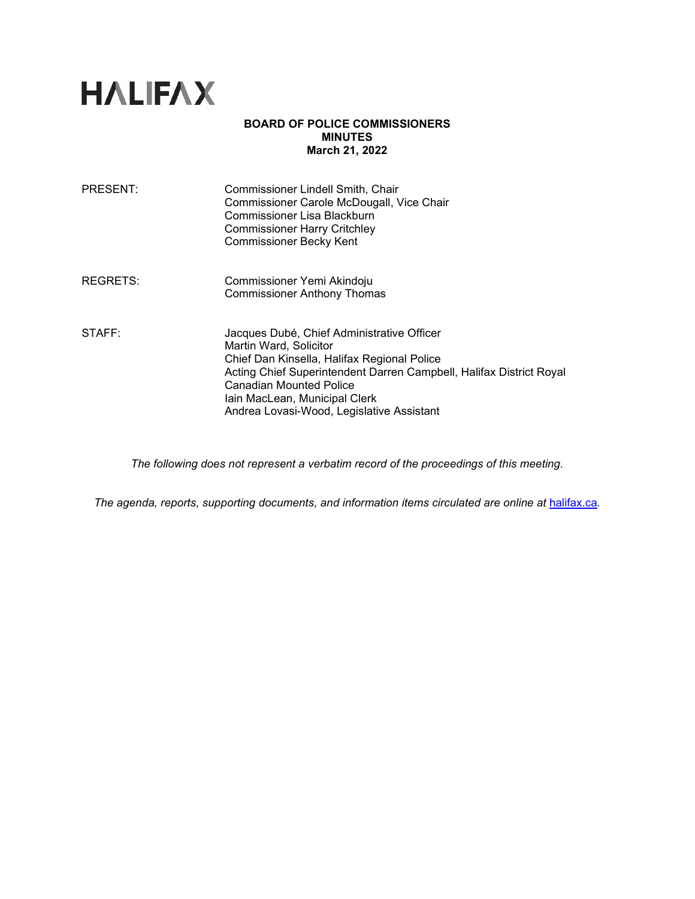

### **BOARD OF POLICE COMMISSIONERS MINUTES March 21, 2022**

| <b>PRESENT:</b> | Commissioner Lindell Smith, Chair<br>Commissioner Carole McDougall, Vice Chair<br>Commissioner Lisa Blackburn<br><b>Commissioner Harry Critchley</b><br><b>Commissioner Becky Kent</b>                                                                                                                     |
|-----------------|------------------------------------------------------------------------------------------------------------------------------------------------------------------------------------------------------------------------------------------------------------------------------------------------------------|
| REGRETS:        | Commissioner Yemi Akindoju<br><b>Commissioner Anthony Thomas</b>                                                                                                                                                                                                                                           |
| STAFF:          | Jacques Dubé, Chief Administrative Officer<br>Martin Ward, Solicitor<br>Chief Dan Kinsella, Halifax Regional Police<br>Acting Chief Superintendent Darren Campbell, Halifax District Royal<br><b>Canadian Mounted Police</b><br>Iain MacLean, Municipal Clerk<br>Andrea Lovasi-Wood, Legislative Assistant |

*The following does not represent a verbatim record of the proceedings of this meeting.*

*The agenda, reports, supporting documents, and information items circulated are online at* [halifax.ca](http://www.halifax.ca/)*.*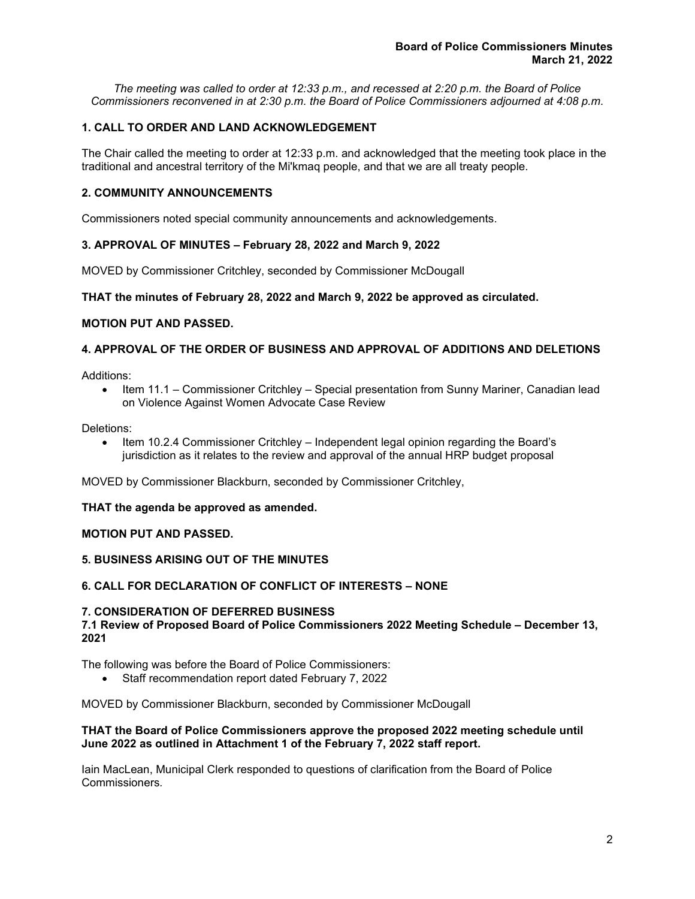*The meeting was called to order at 12:33 p.m., and recessed at 2:20 p.m. the Board of Police Commissioners reconvened in at 2:30 p.m. the Board of Police Commissioners adjourned at 4:08 p.m.*

# **1. CALL TO ORDER AND LAND ACKNOWLEDGEMENT**

The Chair called the meeting to order at 12:33 p.m. and acknowledged that the meeting took place in the traditional and ancestral territory of the Mi'kmaq people, and that we are all treaty people.

## **2. COMMUNITY ANNOUNCEMENTS**

Commissioners noted special community announcements and acknowledgements.

### **3. APPROVAL OF MINUTES – February 28, 2022 and March 9, 2022**

MOVED by Commissioner Critchley, seconded by Commissioner McDougall

### **THAT the minutes of February 28, 2022 and March 9, 2022 be approved as circulated.**

#### **MOTION PUT AND PASSED.**

# **4. APPROVAL OF THE ORDER OF BUSINESS AND APPROVAL OF ADDITIONS AND DELETIONS**

Additions:

• Item 11.1 – Commissioner Critchley – Special presentation from Sunny Mariner, Canadian lead on Violence Against Women Advocate Case Review

Deletions:

• Item 10.2.4 Commissioner Critchley – Independent legal opinion regarding the Board's jurisdiction as it relates to the review and approval of the annual HRP budget proposal

MOVED by Commissioner Blackburn, seconded by Commissioner Critchley,

#### **THAT the agenda be approved as amended.**

#### **MOTION PUT AND PASSED.**

## **5. BUSINESS ARISING OUT OF THE MINUTES**

### **6. CALL FOR DECLARATION OF CONFLICT OF INTERESTS – NONE**

#### **7. CONSIDERATION OF DEFERRED BUSINESS**

**7.1 Review of Proposed Board of Police Commissioners 2022 Meeting Schedule – December 13, 2021**

The following was before the Board of Police Commissioners:

• Staff recommendation report dated February 7, 2022

MOVED by Commissioner Blackburn, seconded by Commissioner McDougall

#### **THAT the Board of Police Commissioners approve the proposed 2022 meeting schedule until June 2022 as outlined in Attachment 1 of the February 7, 2022 staff report.**

Iain MacLean, Municipal Clerk responded to questions of clarification from the Board of Police Commissioners*.*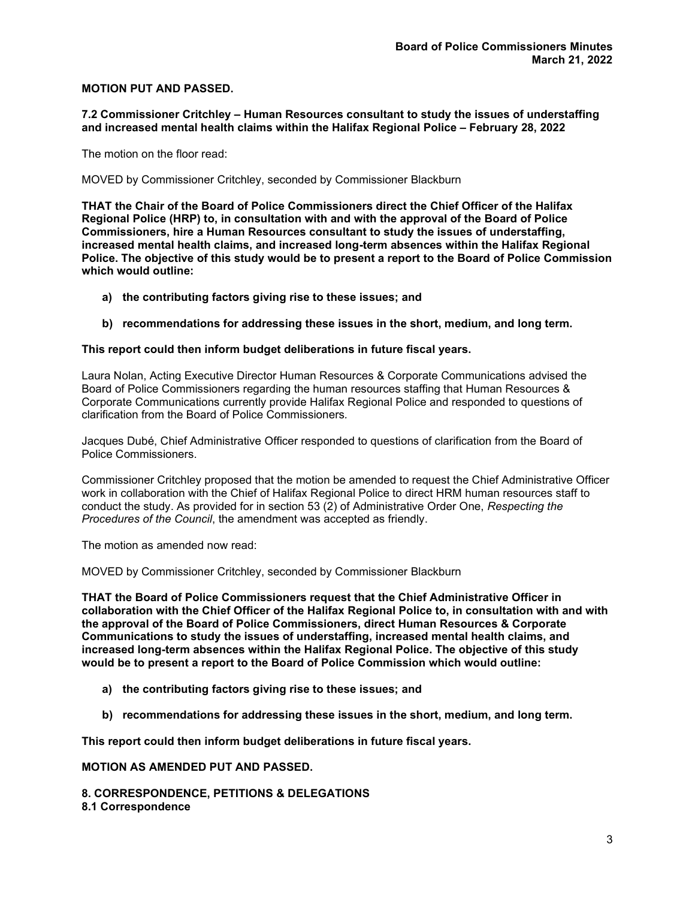## **MOTION PUT AND PASSED.**

#### **7.2 Commissioner Critchley – Human Resources consultant to study the issues of understaffing and increased mental health claims within the Halifax Regional Police – February 28, 2022**

The motion on the floor read:

MOVED by Commissioner Critchley, seconded by Commissioner Blackburn

**THAT the Chair of the Board of Police Commissioners direct the Chief Officer of the Halifax Regional Police (HRP) to, in consultation with and with the approval of the Board of Police Commissioners, hire a Human Resources consultant to study the issues of understaffing, increased mental health claims, and increased long-term absences within the Halifax Regional Police. The objective of this study would be to present a report to the Board of Police Commission which would outline:** 

- **a) the contributing factors giving rise to these issues; and**
- **b) recommendations for addressing these issues in the short, medium, and long term.**

### **This report could then inform budget deliberations in future fiscal years.**

Laura Nolan, Acting Executive Director Human Resources & Corporate Communications advised the Board of Police Commissioners regarding the human resources staffing that Human Resources & Corporate Communications currently provide Halifax Regional Police and responded to questions of clarification from the Board of Police Commissioners*.*

Jacques Dubé, Chief Administrative Officer responded to questions of clarification from the Board of Police Commissioners.

Commissioner Critchley proposed that the motion be amended to request the Chief Administrative Officer work in collaboration with the Chief of Halifax Regional Police to direct HRM human resources staff to conduct the study. As provided for in section 53 (2) of Administrative Order One, *Respecting the Procedures of the Council*, the amendment was accepted as friendly.

The motion as amended now read:

MOVED by Commissioner Critchley, seconded by Commissioner Blackburn

**THAT the Board of Police Commissioners request that the Chief Administrative Officer in collaboration with the Chief Officer of the Halifax Regional Police to, in consultation with and with the approval of the Board of Police Commissioners, direct Human Resources & Corporate Communications to study the issues of understaffing, increased mental health claims, and increased long-term absences within the Halifax Regional Police. The objective of this study would be to present a report to the Board of Police Commission which would outline:** 

- **a) the contributing factors giving rise to these issues; and**
- **b) recommendations for addressing these issues in the short, medium, and long term.**

**This report could then inform budget deliberations in future fiscal years.**

**MOTION AS AMENDED PUT AND PASSED.** 

**8. CORRESPONDENCE, PETITIONS & DELEGATIONS 8.1 Correspondence**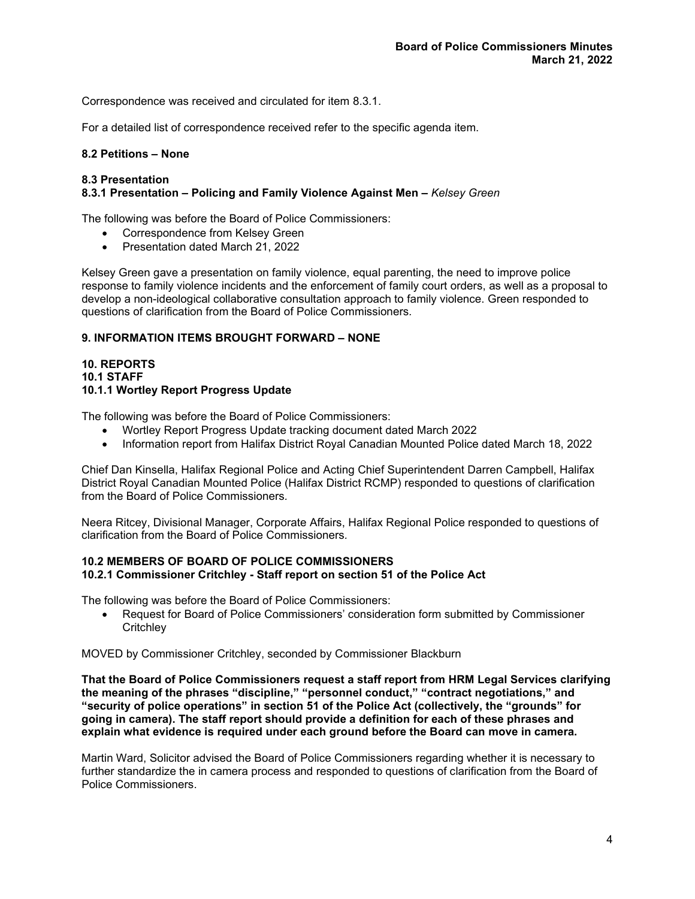Correspondence was received and circulated for item 8.3.1.

For a detailed list of correspondence received refer to the specific agenda item.

### **8.2 Petitions – None**

#### **8.3 Presentation 8.3.1 Presentation – Policing and Family Violence Against Men –** *Kelsey Green*

The following was before the Board of Police Commissioners:

- Correspondence from Kelsey Green
- Presentation dated March 21, 2022

Kelsey Green gave a presentation on family violence, equal parenting, the need to improve police response to family violence incidents and the enforcement of family court orders, as well as a proposal to develop a non-ideological collaborative consultation approach to family violence. Green responded to questions of clarification from the Board of Police Commissioners*.*

## **9. INFORMATION ITEMS BROUGHT FORWARD – NONE**

#### **10. REPORTS 10.1 STAFF 10.1.1 Wortley Report Progress Update**

The following was before the Board of Police Commissioners:

- Wortley Report Progress Update tracking document dated March 2022
- Information report from Halifax District Royal Canadian Mounted Police dated March 18, 2022

Chief Dan Kinsella, Halifax Regional Police and Acting Chief Superintendent Darren Campbell, Halifax District Royal Canadian Mounted Police (Halifax District RCMP) responded to questions of clarification from the Board of Police Commissioners*.*

Neera Ritcey, Divisional Manager, Corporate Affairs, Halifax Regional Police responded to questions of clarification from the Board of Police Commissioners*.*

### **10.2 MEMBERS OF BOARD OF POLICE COMMISSIONERS 10.2.1 Commissioner Critchley - Staff report on section 51 of the Police Act**

The following was before the Board of Police Commissioners:

• Request for Board of Police Commissioners' consideration form submitted by Commissioner **Critchley** 

MOVED by Commissioner Critchley, seconded by Commissioner Blackburn

**That the Board of Police Commissioners request a staff report from HRM Legal Services clarifying the meaning of the phrases "discipline," "personnel conduct," "contract negotiations," and "security of police operations" in section 51 of the Police Act (collectively, the "grounds" for going in camera). The staff report should provide a definition for each of these phrases and explain what evidence is required under each ground before the Board can move in camera.**

Martin Ward, Solicitor advised the Board of Police Commissioners regarding whether it is necessary to further standardize the in camera process and responded to questions of clarification from the Board of Police Commissioners.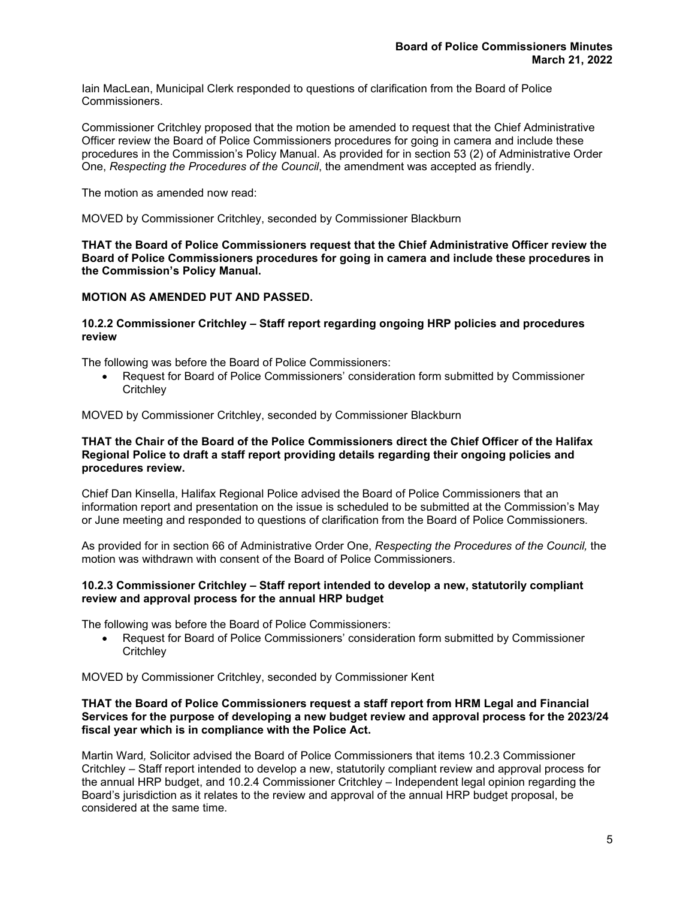Iain MacLean, Municipal Clerk responded to questions of clarification from the Board of Police Commissioners.

Commissioner Critchley proposed that the motion be amended to request that the Chief Administrative Officer review the Board of Police Commissioners procedures for going in camera and include these procedures in the Commission's Policy Manual. As provided for in section 53 (2) of Administrative Order One, *Respecting the Procedures of the Council*, the amendment was accepted as friendly.

The motion as amended now read:

MOVED by Commissioner Critchley, seconded by Commissioner Blackburn

**THAT the Board of Police Commissioners request that the Chief Administrative Officer review the Board of Police Commissioners procedures for going in camera and include these procedures in the Commission's Policy Manual.**

#### **MOTION AS AMENDED PUT AND PASSED.**

### **10.2.2 Commissioner Critchley – Staff report regarding ongoing HRP policies and procedures review**

The following was before the Board of Police Commissioners:

• Request for Board of Police Commissioners' consideration form submitted by Commissioner **Critchlev** 

MOVED by Commissioner Critchley, seconded by Commissioner Blackburn

#### **THAT the Chair of the Board of the Police Commissioners direct the Chief Officer of the Halifax Regional Police to draft a staff report providing details regarding their ongoing policies and procedures review.**

Chief Dan Kinsella, Halifax Regional Police advised the Board of Police Commissioners that an information report and presentation on the issue is scheduled to be submitted at the Commission's May or June meeting and responded to questions of clarification from the Board of Police Commissioners*.*

As provided for in section 66 of Administrative Order One, *Respecting the Procedures of the Council,* the motion was withdrawn with consent of the Board of Police Commissioners.

#### **10.2.3 Commissioner Critchley – Staff report intended to develop a new, statutorily compliant review and approval process for the annual HRP budget**

The following was before the Board of Police Commissioners:

• Request for Board of Police Commissioners' consideration form submitted by Commissioner **Critchlev** 

MOVED by Commissioner Critchley, seconded by Commissioner Kent

#### **THAT the Board of Police Commissioners request a staff report from HRM Legal and Financial Services for the purpose of developing a new budget review and approval process for the 2023/24 fiscal year which is in compliance with the Police Act.**

Martin Ward*,* Solicitor advised the Board of Police Commissioners that items 10.2.3 Commissioner Critchley – Staff report intended to develop a new, statutorily compliant review and approval process for the annual HRP budget, and 10.2.4 Commissioner Critchley – Independent legal opinion regarding the Board's jurisdiction as it relates to the review and approval of the annual HRP budget proposal, be considered at the same time.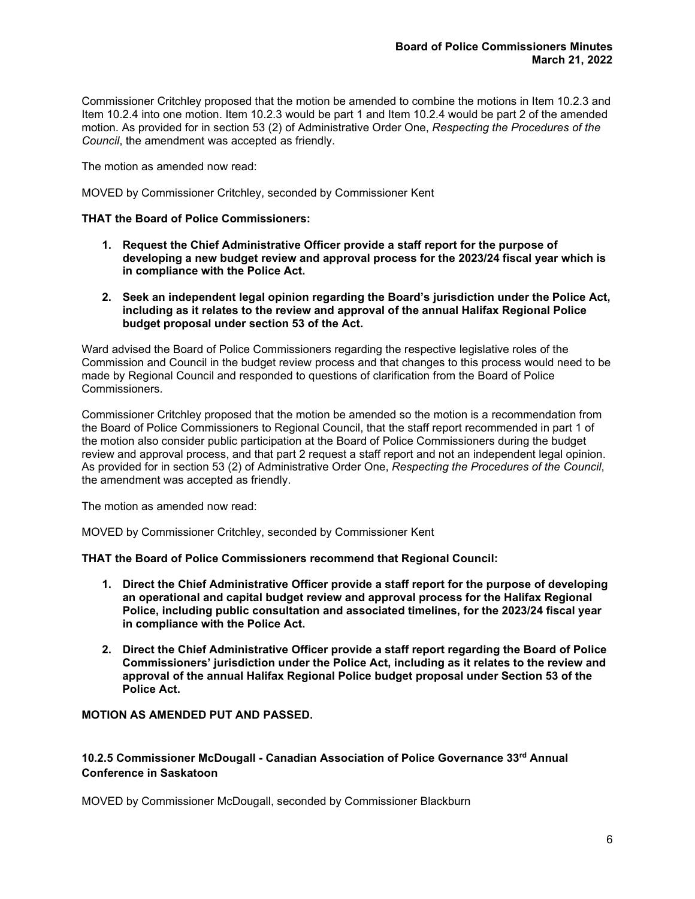Commissioner Critchley proposed that the motion be amended to combine the motions in Item 10.2.3 and Item 10.2.4 into one motion. Item 10.2.3 would be part 1 and Item 10.2.4 would be part 2 of the amended motion. As provided for in section 53 (2) of Administrative Order One, *Respecting the Procedures of the Council*, the amendment was accepted as friendly.

The motion as amended now read:

MOVED by Commissioner Critchley, seconded by Commissioner Kent

### **THAT the Board of Police Commissioners:**

- **1. Request the Chief Administrative Officer provide a staff report for the purpose of developing a new budget review and approval process for the 2023/24 fiscal year which is in compliance with the Police Act.**
- **2. Seek an independent legal opinion regarding the Board's jurisdiction under the Police Act, including as it relates to the review and approval of the annual Halifax Regional Police budget proposal under section 53 of the Act.**

Ward advised the Board of Police Commissioners regarding the respective legislative roles of the Commission and Council in the budget review process and that changes to this process would need to be made by Regional Council and responded to questions of clarification from the Board of Police Commissioners*.*

Commissioner Critchley proposed that the motion be amended so the motion is a recommendation from the Board of Police Commissioners to Regional Council, that the staff report recommended in part 1 of the motion also consider public participation at the Board of Police Commissioners during the budget review and approval process, and that part 2 request a staff report and not an independent legal opinion. As provided for in section 53 (2) of Administrative Order One, *Respecting the Procedures of the Council*, the amendment was accepted as friendly.

The motion as amended now read:

MOVED by Commissioner Critchley, seconded by Commissioner Kent

**THAT the Board of Police Commissioners recommend that Regional Council:** 

- **1. Direct the Chief Administrative Officer provide a staff report for the purpose of developing an operational and capital budget review and approval process for the Halifax Regional Police, including public consultation and associated timelines, for the 2023/24 fiscal year in compliance with the Police Act.**
- **2. Direct the Chief Administrative Officer provide a staff report regarding the Board of Police Commissioners' jurisdiction under the Police Act, including as it relates to the review and approval of the annual Halifax Regional Police budget proposal under Section 53 of the Police Act.**

## **MOTION AS AMENDED PUT AND PASSED.**

# **10.2.5 Commissioner McDougall - Canadian Association of Police Governance 33rd Annual Conference in Saskatoon**

MOVED by Commissioner McDougall, seconded by Commissioner Blackburn